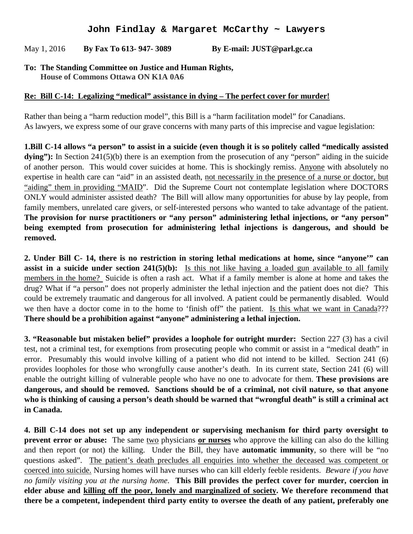## **John Findlay & Margaret McCarthy ~ Lawyers**

May 1, 2016 **By Fax To 613- 947- 3089 By E-mail: [JUST@parl.gc.ca](mailto:JUST@parl.gc.ca?subject=Standing%20Committee%20on%20Justice%20and%20Human%20Rights)**

## **To: The Standing Committee on Justice and Human Rights, House of Commons Ottawa ON K1A 0A6**

## **Re: Bill C-14: Legalizing "medical" assistance in dying – The perfect cover for murder!**

Rather than being a "harm reduction model", this Bill is a "harm facilitation model" for Canadians. As lawyers, we express some of our grave concerns with many parts of this imprecise and vague legislation:

**1.Bill C-14 allows "a person" to assist in a suicide (even though it is so politely called "medically assisted**  dying"): In Section 241(5)(b) there is an exemption from the prosecution of any "person" aiding in the suicide of another person. This would cover suicides at home. This is shockingly remiss. Anyone with absolutely no expertise in health care can "aid" in an assisted death, not necessarily in the presence of a nurse or doctor, but "aiding" them in providing "MAID". Did the Supreme Court not contemplate legislation where DOCTORS ONLY would administer assisted death? The Bill will allow many opportunities for abuse by lay people, from family members, unrelated care givers, or self-interested persons who wanted to take advantage of the patient. **The provision for nurse practitioners or "any person" administering lethal injections, or "any person" being exempted from prosecution for administering lethal injections is dangerous, and should be removed.** 

**2. Under Bill C- 14, there is no restriction in storing lethal medications at home, since "anyone'" can assist in a suicide under section 241(5)(b):** Is this not like having a loaded gun available to all family members in the home? Suicide is often a rash act. What if a family member is alone at home and takes the drug? What if "a person" does not properly administer the lethal injection and the patient does not die? This could be extremely traumatic and dangerous for all involved. A patient could be permanently disabled. Would we then have a doctor come in to the home to 'finish off" the patient. Is this what we want in Canada??? **There should be a prohibition against "anyone" administering a lethal injection.**

**3. "Reasonable but mistaken belief" provides a loophole for outright murder:** Section 227 (3) has a civil test, not a criminal test, for exemptions from prosecuting people who commit or assist in a "medical death" in error. Presumably this would involve killing of a patient who did not intend to be killed. Section 241 (6) provides loopholes for those who wrongfully cause another's death. In its current state, Section 241 (6) will enable the outright killing of vulnerable people who have no one to advocate for them. **These provisions are dangerous, and should be removed. Sanctions should be of a criminal, not civil nature, so that anyone who is thinking of causing a person's death should be warned that "wrongful death" is still a criminal act in Canada.** 

**4. Bill C-14 does not set up any independent or supervising mechanism for third party oversight to prevent error or abuse:** The same two physicians **or nurses** who approve the killing can also do the killing and then report (or not) the killing. Under the Bill, they have **automatic immunity**, so there will be "no questions asked". The patient's death precludes all enquiries into whether the deceased was competent or coerced into suicide. Nursing homes will have nurses who can kill elderly feeble residents. *Beware if you have no family visiting you at the nursing home*. **This Bill provides the perfect cover for murder, coercion in elder abuse and killing off the poor, lonely and marginalized of society. We therefore recommend that there be a competent, independent third party entity to oversee the death of any patient, preferably one**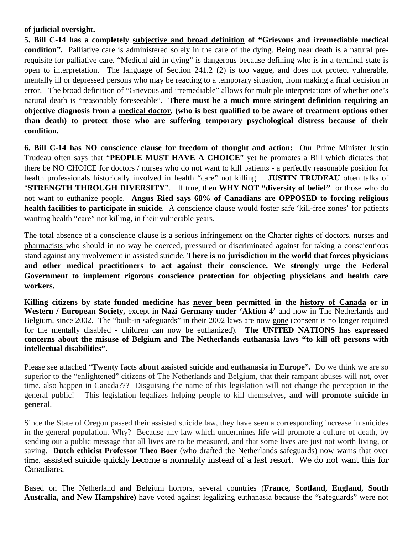## **of judicial oversight.**

**5. Bill C-14 has a completely subjective and broad definition of "Grievous and irremediable medical condition".** Palliative care is administered solely in the care of the dying. Being near death is a natural prerequisite for palliative care. "Medical aid in dying" is dangerous because defining who is in a terminal state is open to interpretation. The language of Section 241.2 (2) is too vague, and does not protect vulnerable, mentally ill or depressed persons who may be reacting to a temporary situation, from making a final decision in error. The broad definition of "Grievous and irremediable" allows for multiple interpretations of whether one's natural death is "reasonably foreseeable". **There must be a much more stringent definition requiring an objective diagnosis from a medical doctor, (who is best qualified to be aware of treatment options other than death) to protect those who are suffering temporary psychological distress because of their condition.** 

**6. Bill C-14 has NO conscience clause for freedom of thought and action:** Our Prime Minister Justin Trudeau often says that "**PEOPLE MUST HAVE A CHOICE**" yet he promotes a Bill which dictates that there be NO CHOICE for doctors / nurses who do not want to kill patients - a perfectly reasonable position for health professionals historically involved in health "care" not killing. **JUSTIN TRUDEAU** often talks of "**STRENGTH THROUGH DIVERSITY**". If true, then **WHY NOT "diversity of belief"** for those who do not want to euthanize people. **Angus Ried says 68% of Canadians are OPPOSED to forcing religious health facilities to participate in suicide**. A conscience clause would foster safe 'kill-free zones' for patients wanting health "care" not killing, in their vulnerable years.

The total absence of a conscience clause is a serious infringement on the Charter rights of doctors, nurses and pharmacists who should in no way be coerced, pressured or discriminated against for taking a conscientious stand against any involvement in assisted suicide. **There is no jurisdiction in the world that forces physicians and other medical practitioners to act against their conscience. We strongly urge the Federal Government to implement rigorous conscience protection for objecting physicians and health care workers.**

**Killing citizens by state funded medicine has never been permitted in the history of Canada or in Western / European Society,** except in **Nazi Germany under 'Aktion 4'** and now in The Netherlands and Belgium, since 2002. The "built-in safeguards" in their 2002 laws are now gone (consent is no longer required for the mentally disabled - children can now be euthanized). **The UNITED NATIONS has expressed concerns about the misuse of Belgium and The Netherlands euthanasia laws "to kill off persons with intellectual disabilities".**

Please see attached "**Twenty facts about assisted suicide and euthanasia in Europe".** Do we think we are so superior to the "enlightened" citizens of The Netherlands and Belgium, that their rampant abuses will not, over time, also happen in Canada??? Disguising the name of this legislation will not change the perception in the general public! This legislation legalizes helping people to kill themselves, **and will promote suicide in general**.

Since the State of Oregon passed their assisted suicide law, they have seen a corresponding increase in suicides in the general population. Why? Because any law which undermines life will promote a culture of death, by sending out a public message that all lives are to be measured, and that some lives are just not worth living, or saving. **Dutch ethicist Professor Theo Boer** (who drafted the Netherlands safeguards) now warns that over time, assisted suicide quickly become a normality instead of a last resort. We do not want this for Canadians.

Based on The Netherland and Belgium horrors, several countries (**France, Scotland, England, South Australia, and New Hampshire)** have voted against legalizing euthanasia because the "safeguards" were not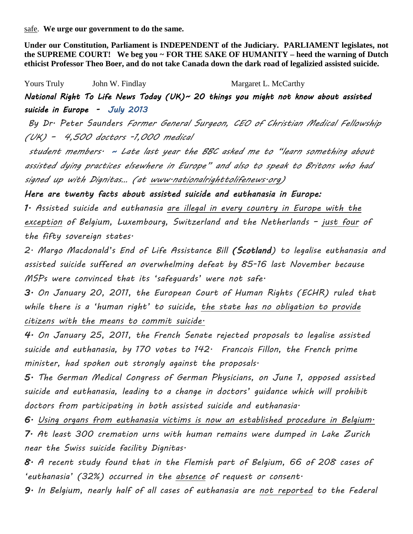safe. **We urge our government to do the same.** 

**Under our Constitution, Parliament is INDEPENDENT of the Judiciary. PARLIAMENT legislates, not the SUPREME COURT! We beg you ~ FOR THE SAKE OF HUMANITY – heed the warning of Dutch ethicist Professor Theo Boer, and do not take Canada down the dark road of legalizied assisted suicide.** 

Yours Truly **Solution** John W. Findlay **Margaret L. McCarthy** *National Right To Life News Today (UK)~ 20 things you might not know about assisted suicide in Europe - July 2013* 

 *By Dr. Peter Saunders Former General Surgeon, CEO of Christian Medical Fellowship (UK) – 4,500 doctors -1,000 medical*

*student members. ~ Late last year the BBC asked me to "learn something about assisted dying practices elsewhere in Europe" and also to speak to Britons who had signed up with Dignitas… (at www.nationalrighttolifenews.org)* 

*Here are twenty facts about assisted suicide and euthanasia in Europe:* 

*1. Assisted suicide and euthanasia are illegal in every country in Europe with the exception of Belgium, Luxembourg, Switzerland and the Netherlands – just four of the fifty sovereign states.*

*2. Margo Macdonald's End of Life Assistance Bill (Scotland) to legalise euthanasia and assisted suicide suffered an overwhelming defeat by 85-16 last November because MSPs were convinced that its 'safeguards' were not safe.*

*3. On January 20, 2011, the European Court of Human Rights (ECHR) ruled that while there is a 'human right' to suicide, the state has no obligation to provide citizens with the means to commit suicide.*

*4. On January 25, 2011, the French Senate rejected proposals to legalise assisted suicide and euthanasia, by 170 votes to 142. Francois Fillon, the French prime minister, had spoken out strongly against the proposals.*

*5. The German Medical Congress of German Physicians, on June 1, opposed assisted suicide and euthanasia, leading to a change in doctors' guidance which will prohibit doctors from participating in both assisted suicide and euthanasia.*

*6. Using organs from euthanasia victims is now an established procedure in Belgium. 7. At least 300 cremation urns with human remains were dumped in Lake Zurich near the Swiss suicide facility Dignitas.*

*8. A recent study found that in the Flemish part of Belgium, 66 of 208 cases of 'euthanasia' (32%) occurred in the absence of request or consent.*

*9. In Belgium, nearly half of all cases of euthanasia are not reported to the Federal*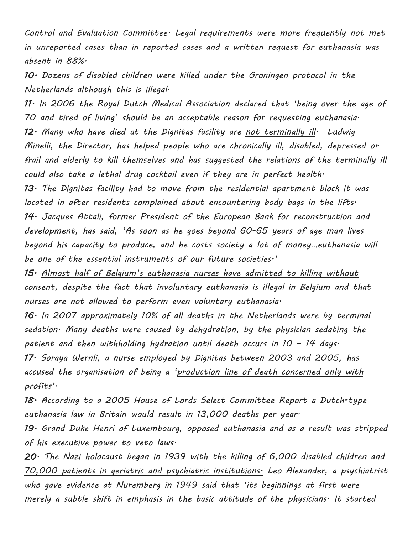*Control and Evaluation Committee. Legal requirements were more frequently not met in unreported cases than in reported cases and a written request for euthanasia was absent in 88%.*

*10. Dozens of disabled children were killed under the Groningen protocol in the Netherlands although this is illegal.*

*11. In 2006 the Royal Dutch Medical Association declared that 'being over the age of 70 and tired of living' should be an acceptable reason for requesting euthanasia. 12. Many who have died at the Dignitas facility are not terminally ill. Ludwig Minelli, the Director, has helped people who are chronically ill, disabled, depressed or frail and elderly to kill themselves and has suggested the relations of the terminally ill could also take a lethal drug cocktail even if they are in perfect health.*

*13. The Dignitas facility had to move from the residential apartment block it was located in after residents complained about encountering body bags in the lifts. 14. Jacques Attali, former President of the European Bank for reconstruction and development, has said, 'As soon as he goes beyond 60-65 years of age man lives beyond his capacity to produce, and he costs society a lot of money…euthanasia will be one of the essential instruments of our future societies.'*

*15. Almost half of Belgium's euthanasia nurses have admitted to killing without consent, despite the fact that involuntary euthanasia is illegal in Belgium and that nurses are not allowed to perform even voluntary euthanasia.*

*16. In 2007 approximately 10% of all deaths in the Netherlands were by terminal sedation. Many deaths were caused by dehydration, by the physician sedating the patient and then withholding hydration until death occurs in 10 – 14 days. 17. Soraya Wernli, a nurse employed by Dignitas between 2003 and 2005, has accused the organisation of being a 'production line of death concerned only with profits'.*

*18. According to a 2005 House of Lords Select Committee Report a Dutch-type euthanasia law in Britain would result in 13,000 deaths per year.*

*19. Grand Duke Henri of Luxembourg, opposed euthanasia and as a result was stripped of his executive power to veto laws.*

*20. The Nazi holocaust began in 1939 with the killing of 6,000 disabled children and 70,000 patients in geriatric and psychiatric institutions. Leo Alexander, a psychiatrist who gave evidence at Nuremberg in 1949 said that 'its beginnings at first were merely a subtle shift in emphasis in the basic attitude of the physicians. It started*